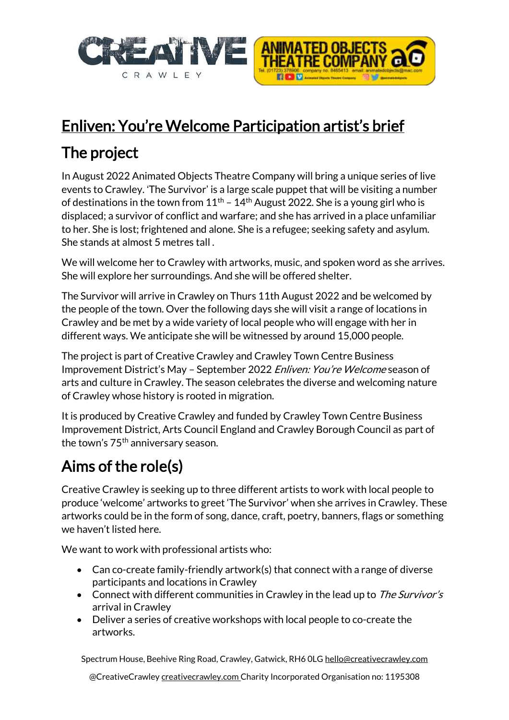



# Enliven: You're Welcome Participation artist's brief

## The project

In August 2022 Animated Objects Theatre Company will bring a unique series of live events to Crawley. ʻThe Survivor' is a large scale puppet that will be visiting a number of destinations in the town from  $11<sup>th</sup>$  –  $14<sup>th</sup>$  August 2022. She is a young girl who is displaced; a survivor of conflict and warfare; and she has arrived in a place unfamiliar to her. She is lost; frightened and alone. She is a refugee; seeking safety and asylum. She stands at almost 5 metres tall .

We will welcome her to Crawley with artworks, music, and spoken word as she arrives. She will explore her surroundings. And she will be offered shelter.

The Survivor will arrive in Crawley on Thurs 11th August 2022 and be welcomed by the people of the town. Over the following days she will visit a range of locations in Crawley and be met by a wide variety of local people who will engage with her in different ways. We anticipate she will be witnessed by around 15,000 people.

The project is part of Creative Crawley and Crawley Town Centre Business Improvement District's May – September 2022 Enliven: You're Welcome season of arts and culture in Crawley. The season celebrates the diverse and welcoming nature of Crawley whose history is rooted in migration.

It is produced by Creative Crawley and funded by Crawley Town Centre Business Improvement District, Arts Council England and Crawley Borough Council as part of the town's 75<sup>th</sup> anniversary season.

## Aims of the role(s)

Creative Crawley is seeking up to three different artists to work with local people to produce 'welcome' artworks to greet 'The Survivor' when she arrives in Crawley. These artworks could be in the form of song, dance, craft, poetry, banners, flags or something we haven't listed here.

We want to work with professional artists who:

- Can co-create family-friendly artwork(s) that connect with a range of diverse participants and locations in Crawley
- Connect with different communities in Crawley in the lead up to The Survivor's arrival in Crawley
- Deliver a series of creative workshops with local people to co-create the artworks.

Spectrum House, Beehive Ring Road, Crawley, Gatwick, RH6 OL[G hello@creativecrawley.com](mailto:hello@creativecrawley.com)

@CreativeCrawley creativecrawley.com Charity Incorporated Organisation no: 1195308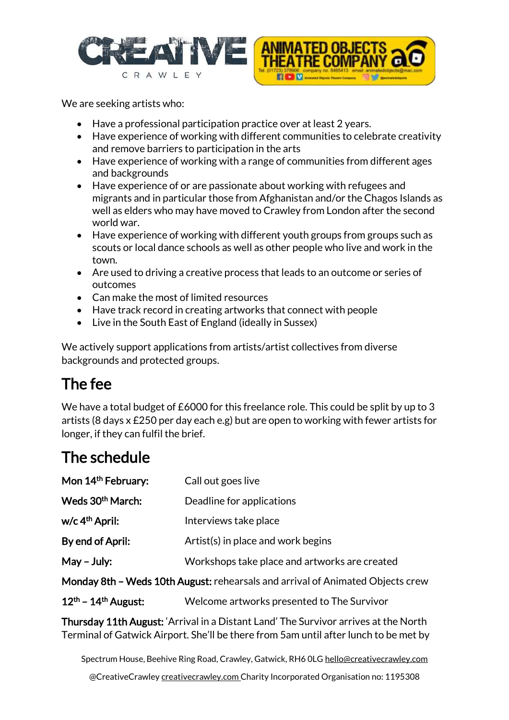



We are seeking artists who:

- Have a professional participation practice over at least 2 years.
- Have experience of working with different communities to celebrate creativity and remove barriers to participation in the arts
- Have experience of working with a range of communities from different ages and backgrounds
- Have experience of or are passionate about working with refugees and migrants and in particular those from Afghanistan and/or the Chagos Islands as well as elders who may have moved to Crawley from London after the second world war.
- Have experience of working with different youth groups from groups such as scouts or local dance schools as well as other people who live and work in the town.
- Are used to driving a creative process that leads to an outcome or series of outcomes
- Can make the most of limited resources
- Have track record in creating artworks that connect with people
- Live in the South East of England (ideally in Sussex)

We actively support applications from artists/artist collectives from diverse backgrounds and protected groups.

#### The fee

We have a total budget of £6000 for this freelance role. This could be split by up to 3 artists (8 days x £250 per day each e.g) but are open to working with fewer artists for longer, if they can fulfil the brief.

### The schedule

| Mon 14th February:                                                             | Call out goes live                            |
|--------------------------------------------------------------------------------|-----------------------------------------------|
| Weds 30 <sup>th</sup> March:                                                   | Deadline for applications                     |
| w/c 4 <sup>th</sup> April:                                                     | Interviews take place                         |
| By end of April:                                                               | Artist(s) in place and work begins            |
| $May - July:$                                                                  | Workshops take place and artworks are created |
| Monday 8th - Weds 10th August: rehearsals and arrival of Animated Objects crew |                                               |
| $12th$ – 14 <sup>th</sup> August:                                              | Welcome artworks presented to The Survivor    |

Thursday 11th August: 'Arrival in a Distant Land' The Survivor arrives at the North Terminal of Gatwick Airport. She'll be there from 5am until after lunch to be met by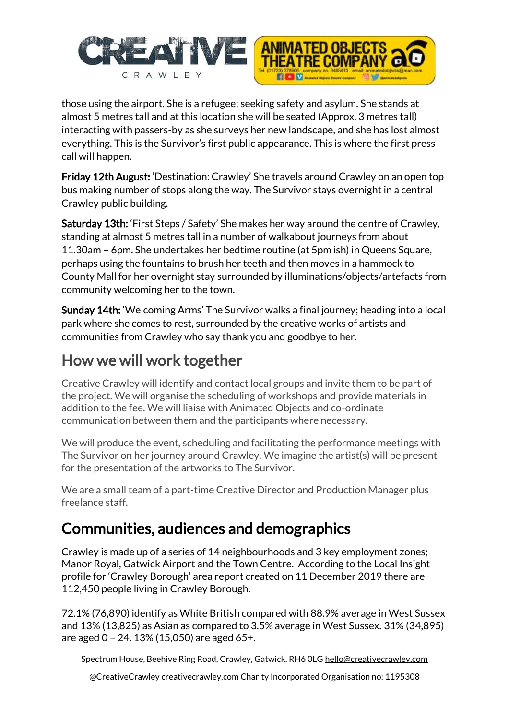



those using the airport. She is a refugee; seeking safety and asylum. She stands at almost 5 metres tall and at this location she will be seated (Approx. 3 metres tall) interacting with passers-by as she surveys her new landscape, and she has lost almost everything. This is the Survivor's first public appearance. This is where the first press call will happen.

Friday 12th August: 'Destination: Crawley' She travels around Crawley on an open top bus making number of stops along the way. The Survivor stays overnight in a central Crawley public building.

Saturday 13th: 'First Steps / Safety' She makes her way around the centre of Crawley, standing at almost 5 metres tall in a number of walkabout journeys from about 11.30am – 6pm. She undertakes her bedtime routine (at 5pm ish) in Queens Square, perhaps using the fountains to brush her teeth and then moves in a hammock to County Mall for her overnight stay surrounded by illuminations/objects/artefacts from community welcoming her to the town.

Sunday 14th: 'Welcoming Arms' The Survivor walks a final journey; heading into a local park where she comes to rest, surrounded by the creative works of artists and communities from Crawley who say thank you and goodbye to her.

#### How we will work together

Creative Crawley will identify and contact local groups and invite them to be part of the project. We will organise the scheduling of workshops and provide materials in addition to the fee. We will liaise with Animated Objects and co-ordinate communication between them and the participants where necessary.

We will produce the event, scheduling and facilitating the performance meetings with The Survivor on her journey around Crawley. We imagine the artist(s) will be present for the presentation of the artworks to The Survivor.

We are a small team of a part-time Creative Director and Production Manager plus freelance staff.

### Communities, audiences and demographics

Crawley is made up of a series of 14 neighbourhoods and 3 key employment zones; Manor Royal, Gatwick Airport and the Town Centre. According to the Local Insight profile for 'Crawley Borough' area report created on 11 December 2019 there are 112,450 people living in Crawley Borough.

72.1% (76,890) identify as White British compared with 88.9% average in West Sussex and 13% (13,825) as Asian as compared to 3.5% average in West Sussex. 31% (34,895) are aged 0 – 24. 13% (15,050) are aged 65+.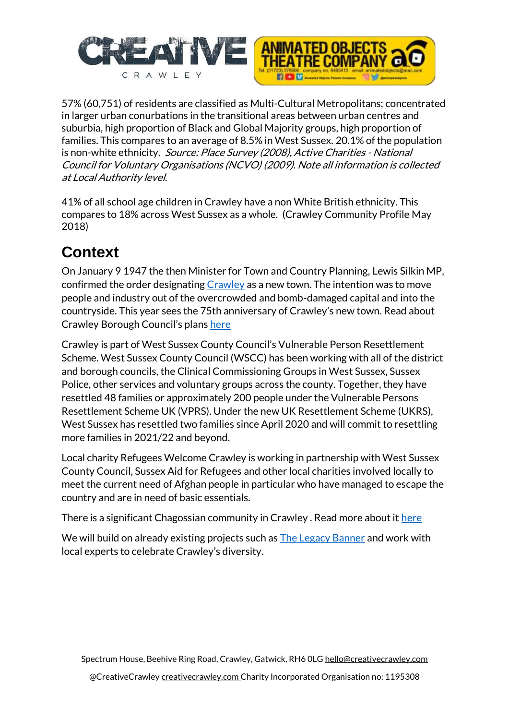



57% (60,751) of residents are classified as Multi-Cultural Metropolitans; concentrated in larger urban conurbations in the transitional areas between urban centres and suburbia, high proportion of Black and Global Majority groups, high proportion of families. This compares to an average of 8.5% in West Sussex. 20.1% of the population is non-white ethnicity. Source: Place Survey (2008), Active Charities - National Council for Voluntary Organisations (NCVO) (2009). Note all information is collected at Local Authority level.

41% of all school age children in Crawley have a non White British ethnicity. This compares to 18% across West Sussex as a whole. (Crawley Community Profile May 2018)

## **Context**

On January 9 1947 the then Minister for Town and Country Planning, Lewis Silkin MP, confirmed the order designating [Crawley](https://www.crawleyobserver.co.uk/topic/crawley) as a new town. The intention was to move people and industry out of the overcrowded and bomb-damaged capital and into the countryside. This year sees the 75th anniversary of Crawley's new town. Read about Crawley Borough Council's plans [here](https://www.crawleyobserver.co.uk/news/politics/council/crawley-turns-75-this-is-what-the-council-is-doing-to-celebrate-towns-anniversary-and-how-you-can-get-involved-3523623)

Crawley is part of West Sussex County Council's Vulnerable Person Resettlement Scheme. West Sussex County Council (WSCC) has been working with all of the district and borough councils, the Clinical Commissioning Groups in West Sussex, Sussex Police, other services and voluntary groups across the county. Together, they have resettled 48 families or approximately 200 people under the Vulnerable Persons Resettlement Scheme UK (VPRS). Under the new UK Resettlement Scheme (UKRS), West Sussex has resettled two families since April 2020 and will commit to resettling more families in 2021/22 and beyond.

Local charity Refugees Welcome Crawley is working in partnership with West Sussex County Council, Sussex Aid for Refugees and other local charities involved locally to meet the current need of Afghan people in particular who have managed to escape the country and are in need of basic essentials.

There is a significant Chagossian community in Crawley . Read more about it [here](https://www.sussexlive.co.uk/news/sussex-news/crawley-chagossian-community-struggle-home-6027900)

We will build on already existing projects such as **The Legacy Banner** and work with local experts to celebrate Crawley's diversity.